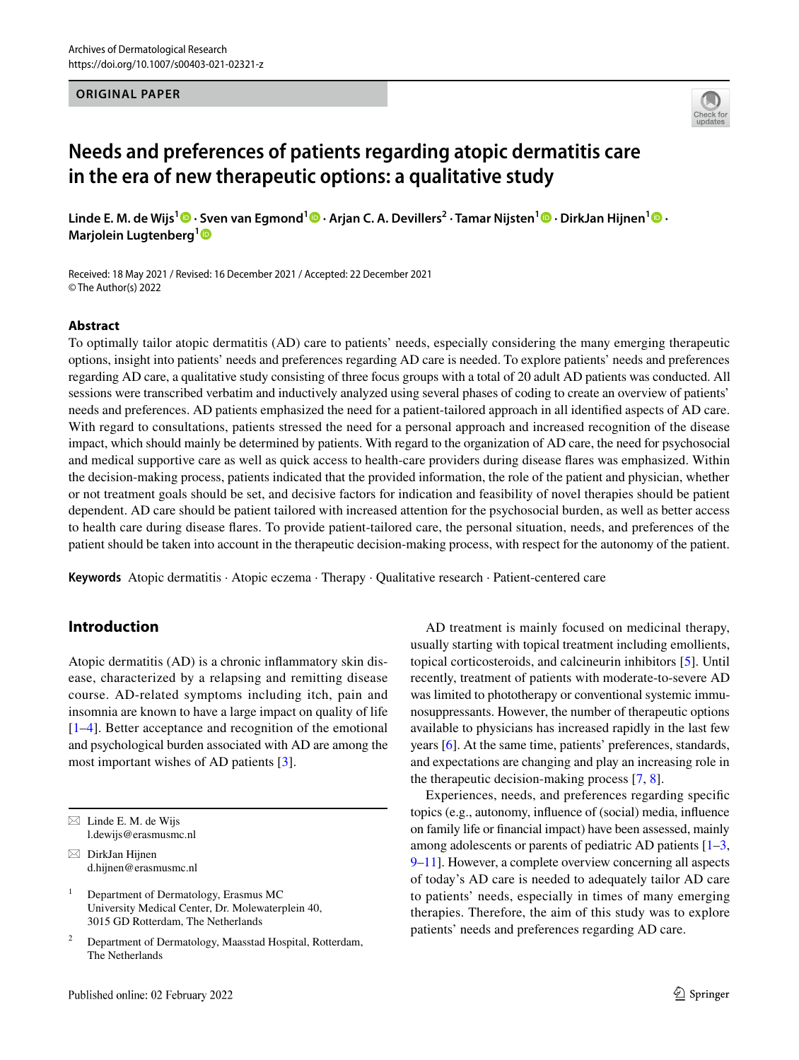#### **ORIGINAL PAPER**



# **Needs and preferences of patients regarding atopic dermatitis care in the era of new therapeutic options: a qualitative study**

**Linde E. M. de Wijs1  [·](http://orcid.org/0000-0001-6801-0828) Sven van Egmond<sup>1</sup>  [·](http://orcid.org/0000-0002-1323-4928) Arjan C. A. Devillers2 · Tamar Nijsten1 · DirkJan Hijnen[1](http://orcid.org/0000-0003-3379-3425) · Marjolein Lugtenberg[1](http://orcid.org/0000-0002-4117-2154)**

Received: 18 May 2021 / Revised: 16 December 2021 / Accepted: 22 December 2021 © The Author(s) 2022

#### **Abstract**

To optimally tailor atopic dermatitis (AD) care to patients' needs, especially considering the many emerging therapeutic options, insight into patients' needs and preferences regarding AD care is needed. To explore patients' needs and preferences regarding AD care, a qualitative study consisting of three focus groups with a total of 20 adult AD patients was conducted. All sessions were transcribed verbatim and inductively analyzed using several phases of coding to create an overview of patients' needs and preferences. AD patients emphasized the need for a patient-tailored approach in all identifed aspects of AD care. With regard to consultations, patients stressed the need for a personal approach and increased recognition of the disease impact, which should mainly be determined by patients. With regard to the organization of AD care, the need for psychosocial and medical supportive care as well as quick access to health-care providers during disease fares was emphasized. Within the decision-making process, patients indicated that the provided information, the role of the patient and physician, whether or not treatment goals should be set, and decisive factors for indication and feasibility of novel therapies should be patient dependent. AD care should be patient tailored with increased attention for the psychosocial burden, as well as better access to health care during disease fares. To provide patient-tailored care, the personal situation, needs, and preferences of the patient should be taken into account in the therapeutic decision-making process, with respect for the autonomy of the patient.

**Keywords** Atopic dermatitis · Atopic eczema · Therapy · Qualitative research · Patient-centered care

### **Introduction**

Atopic dermatitis (AD) is a chronic infammatory skin disease, characterized by a relapsing and remitting disease course. AD-related symptoms including itch, pain and insomnia are known to have a large impact on quality of life [\[1–](#page-7-0)[4\]](#page-7-1). Better acceptance and recognition of the emotional and psychological burden associated with AD are among the most important wishes of AD patients [\[3](#page-7-2)].

 $\boxtimes$  DirkJan Hijnen d.hijnen@erasmusmc.nl

AD treatment is mainly focused on medicinal therapy, usually starting with topical treatment including emollients, topical corticosteroids, and calcineurin inhibitors [\[5](#page-7-3)]. Until recently, treatment of patients with moderate-to-severe AD was limited to phototherapy or conventional systemic immunosuppressants. However, the number of therapeutic options available to physicians has increased rapidly in the last few years [[6\]](#page-7-4). At the same time, patients' preferences, standards, and expectations are changing and play an increasing role in the therapeutic decision-making process [\[7](#page-7-5), [8](#page-7-6)].

Experiences, needs, and preferences regarding specifc topics (e.g., autonomy, infuence of (social) media, infuence on family life or fnancial impact) have been assessed, mainly among adolescents or parents of pediatric AD patients [[1–](#page-7-0)[3,](#page-7-2) [9](#page-7-7)[–11\]](#page-7-8). However, a complete overview concerning all aspects of today's AD care is needed to adequately tailor AD care to patients' needs, especially in times of many emerging therapies. Therefore, the aim of this study was to explore patients' needs and preferences regarding AD care.

 $\boxtimes$  Linde E. M. de Wijs l.dewijs@erasmusmc.nl

<sup>&</sup>lt;sup>1</sup> Department of Dermatology, Erasmus MC University Medical Center, Dr. Molewaterplein 40, 3015 GD Rotterdam, The Netherlands

<sup>2</sup> Department of Dermatology, Maasstad Hospital, Rotterdam, The Netherlands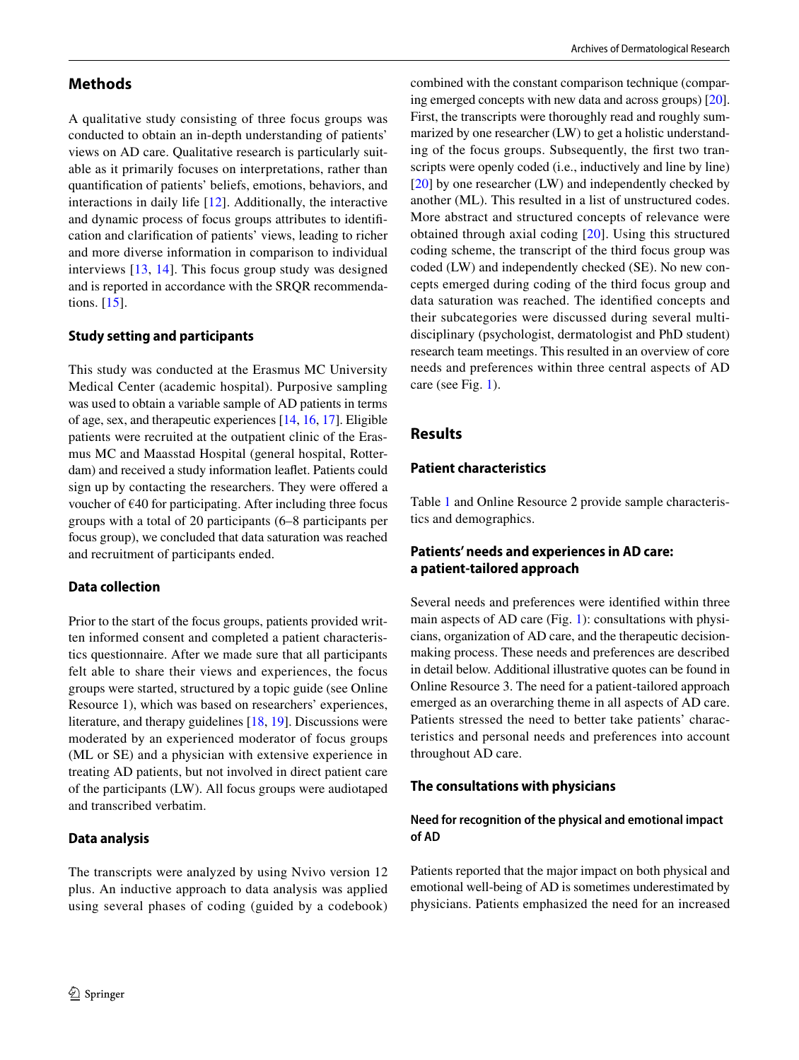### **Methods**

A qualitative study consisting of three focus groups was conducted to obtain an in-depth understanding of patients' views on AD care. Qualitative research is particularly suitable as it primarily focuses on interpretations, rather than quantifcation of patients' beliefs, emotions, behaviors, and interactions in daily life [\[12\]](#page-7-9). Additionally, the interactive and dynamic process of focus groups attributes to identifcation and clarifcation of patients' views, leading to richer and more diverse information in comparison to individual interviews [\[13,](#page-7-10) [14](#page-7-11)]. This focus group study was designed and is reported in accordance with the SRQR recommendations. [\[15](#page-7-12)].

### **Study setting and participants**

This study was conducted at the Erasmus MC University Medical Center (academic hospital). Purposive sampling was used to obtain a variable sample of AD patients in terms of age, sex, and therapeutic experiences [\[14](#page-7-11), [16,](#page-7-13) [17](#page-7-14)]. Eligible patients were recruited at the outpatient clinic of the Erasmus MC and Maasstad Hospital (general hospital, Rotterdam) and received a study information leafet. Patients could sign up by contacting the researchers. They were ofered a voucher of  $E$ 40 for participating. After including three focus groups with a total of 20 participants (6–8 participants per focus group), we concluded that data saturation was reached and recruitment of participants ended.

#### **Data collection**

Prior to the start of the focus groups, patients provided written informed consent and completed a patient characteristics questionnaire. After we made sure that all participants felt able to share their views and experiences, the focus groups were started, structured by a topic guide (see Online Resource 1), which was based on researchers' experiences, literature, and therapy guidelines [\[18](#page-7-15), [19\]](#page-7-16). Discussions were moderated by an experienced moderator of focus groups (ML or SE) and a physician with extensive experience in treating AD patients, but not involved in direct patient care of the participants (LW). All focus groups were audiotaped and transcribed verbatim.

#### **Data analysis**

The transcripts were analyzed by using Nvivo version 12 plus. An inductive approach to data analysis was applied using several phases of coding (guided by a codebook) combined with the constant comparison technique (comparing emerged concepts with new data and across groups) [[20](#page-7-17)]. First, the transcripts were thoroughly read and roughly summarized by one researcher (LW) to get a holistic understanding of the focus groups. Subsequently, the frst two transcripts were openly coded (i.e., inductively and line by line) [[20\]](#page-7-17) by one researcher (LW) and independently checked by another (ML). This resulted in a list of unstructured codes. More abstract and structured concepts of relevance were obtained through axial coding [[20\]](#page-7-17). Using this structured coding scheme, the transcript of the third focus group was coded (LW) and independently checked (SE). No new concepts emerged during coding of the third focus group and data saturation was reached. The identifed concepts and their subcategories were discussed during several multidisciplinary (psychologist, dermatologist and PhD student) research team meetings. This resulted in an overview of core needs and preferences within three central aspects of AD care (see Fig. [1\)](#page-2-0).

### **Results**

### **Patient characteristics**

Table [1](#page-2-1) and Online Resource 2 provide sample characteristics and demographics.

### **Patients' needs and experiences in AD care: a patient‑tailored approach**

Several needs and preferences were identifed within three main aspects of AD care (Fig. [1](#page-2-0)): consultations with physicians, organization of AD care, and the therapeutic decisionmaking process. These needs and preferences are described in detail below. Additional illustrative quotes can be found in Online Resource 3. The need for a patient-tailored approach emerged as an overarching theme in all aspects of AD care. Patients stressed the need to better take patients' characteristics and personal needs and preferences into account throughout AD care.

#### **The consultations with physicians**

### **Need for recognition of the physical and emotional impact of AD**

Patients reported that the major impact on both physical and emotional well-being of AD is sometimes underestimated by physicians. Patients emphasized the need for an increased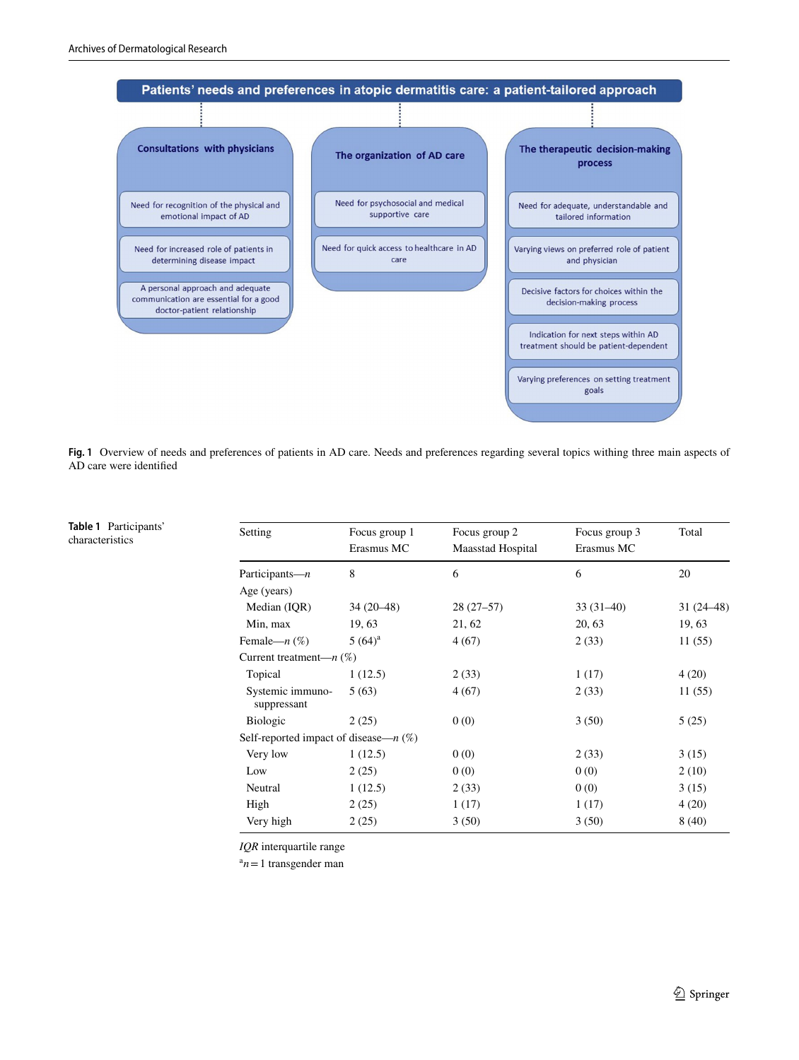<span id="page-2-1"></span>**Table 1** Participants' characteristics



<span id="page-2-0"></span>Fig. 1 Overview of needs and preferences of patients in AD care. Needs and preferences regarding several topics withing three main aspects of AD care were identifed

| Setting                                  | Focus group 1<br>Erasmus MC | Focus group 2<br><b>Maasstad Hospital</b> | Focus group 3<br>Erasmus MC | Total       |
|------------------------------------------|-----------------------------|-------------------------------------------|-----------------------------|-------------|
|                                          |                             |                                           |                             |             |
| Participants— $n$                        | 8                           | 6                                         | 6                           | 20          |
| Age (years)                              |                             |                                           |                             |             |
| Median (IQR)                             | $34(20-48)$                 | $28(27-57)$                               | $33(31-40)$                 | $31(24-48)$ |
| Min, max                                 | 19, 63                      | 21, 62                                    | 20, 63                      | 19, 63      |
| Female— $n$ $(\%)$                       | $5(64)^{a}$                 | 4(67)                                     | 2(33)                       | 11(55)      |
| Current treatment— $n$ (%)               |                             |                                           |                             |             |
| Topical                                  | 1(12.5)                     | 2(33)                                     | 1(17)                       | 4(20)       |
| Systemic immuno-<br>suppressant          | 5(63)                       | 4(67)                                     | 2(33)                       | 11(55)      |
| <b>Biologic</b>                          | 2(25)                       | 0(0)                                      | 3(50)                       | 5(25)       |
| Self-reported impact of disease— $n$ (%) |                             |                                           |                             |             |
| Very low                                 | 1(12.5)                     | 0(0)                                      | 2(33)                       | 3(15)       |
| Low                                      | 2(25)                       | 0(0)                                      | 0(0)                        | 2(10)       |
| Neutral                                  | 1(12.5)                     | 2(33)                                     | 0(0)                        | 3(15)       |
| High                                     | 2(25)                       | 1(17)                                     | 1(17)                       | 4(20)       |
| Very high                                | 2(25)                       | 3(50)                                     | 3(50)                       | 8(40)       |

*IQR* interquartile range

 $a_n = 1$  transgender man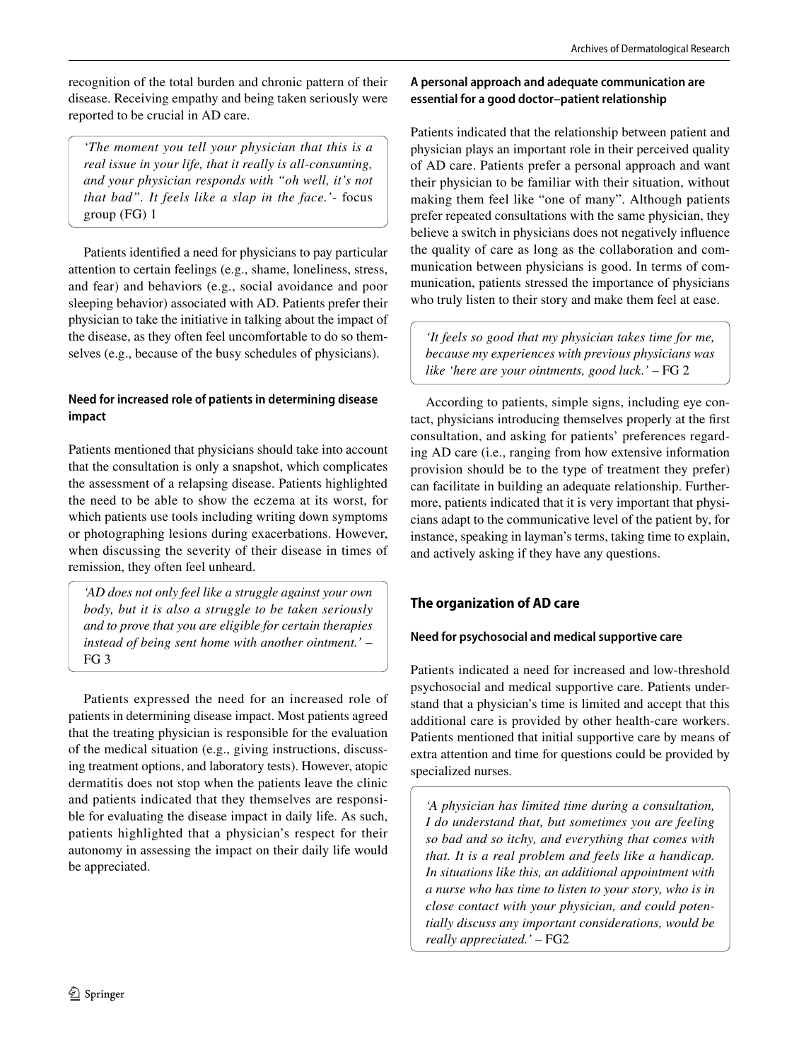recognition of the total burden and chronic pattern of their disease. Receiving empathy and being taken seriously were reported to be crucial in AD care.

*'The moment you tell your physician that this is a real issue in your life, that it really is all-consuming, and your physician responds with "oh well, it's not that bad". It feels like a slap in the face.'*- focus group (FG) 1

Patients identifed a need for physicians to pay particular attention to certain feelings (e.g., shame, loneliness, stress, and fear) and behaviors (e.g., social avoidance and poor sleeping behavior) associated with AD. Patients prefer their physician to take the initiative in talking about the impact of the disease, as they often feel uncomfortable to do so themselves (e.g., because of the busy schedules of physicians).

### **Need for increased role of patients in determining disease impact**

Patients mentioned that physicians should take into account that the consultation is only a snapshot, which complicates the assessment of a relapsing disease. Patients highlighted the need to be able to show the eczema at its worst, for which patients use tools including writing down symptoms or photographing lesions during exacerbations. However, when discussing the severity of their disease in times of remission, they often feel unheard.

*'AD does not only feel like a struggle against your own body, but it is also a struggle to be taken seriously and to prove that you are eligible for certain therapies instead of being sent home with another ointment.'* – FG 3

Patients expressed the need for an increased role of patients in determining disease impact. Most patients agreed that the treating physician is responsible for the evaluation of the medical situation (e.g., giving instructions, discussing treatment options, and laboratory tests). However, atopic dermatitis does not stop when the patients leave the clinic and patients indicated that they themselves are responsible for evaluating the disease impact in daily life. As such, patients highlighted that a physician's respect for their autonomy in assessing the impact on their daily life would be appreciated.

### **A personal approach and adequate communication are essential for a good doctor–patient relationship**

Patients indicated that the relationship between patient and physician plays an important role in their perceived quality of AD care. Patients prefer a personal approach and want their physician to be familiar with their situation, without making them feel like "one of many". Although patients prefer repeated consultations with the same physician, they believe a switch in physicians does not negatively infuence the quality of care as long as the collaboration and communication between physicians is good. In terms of communication, patients stressed the importance of physicians who truly listen to their story and make them feel at ease.

*'It feels so good that my physician takes time for me, because my experiences with previous physicians was like 'here are your ointments, good luck.'* – FG 2

According to patients, simple signs, including eye contact, physicians introducing themselves properly at the frst consultation, and asking for patients' preferences regarding AD care (i.e., ranging from how extensive information provision should be to the type of treatment they prefer) can facilitate in building an adequate relationship. Furthermore, patients indicated that it is very important that physicians adapt to the communicative level of the patient by, for instance, speaking in layman's terms, taking time to explain, and actively asking if they have any questions.

# **The organization of AD care**

### **Need for psychosocial and medical supportive care**

Patients indicated a need for increased and low-threshold psychosocial and medical supportive care. Patients understand that a physician's time is limited and accept that this additional care is provided by other health-care workers. Patients mentioned that initial supportive care by means of extra attention and time for questions could be provided by specialized nurses.

*'A physician has limited time during a consultation, I do understand that, but sometimes you are feeling so bad and so itchy, and everything that comes with that. It is a real problem and feels like a handicap. In situations like this, an additional appointment with a nurse who has time to listen to your story, who is in close contact with your physician, and could potentially discuss any important considerations, would be really appreciated.'* – FG2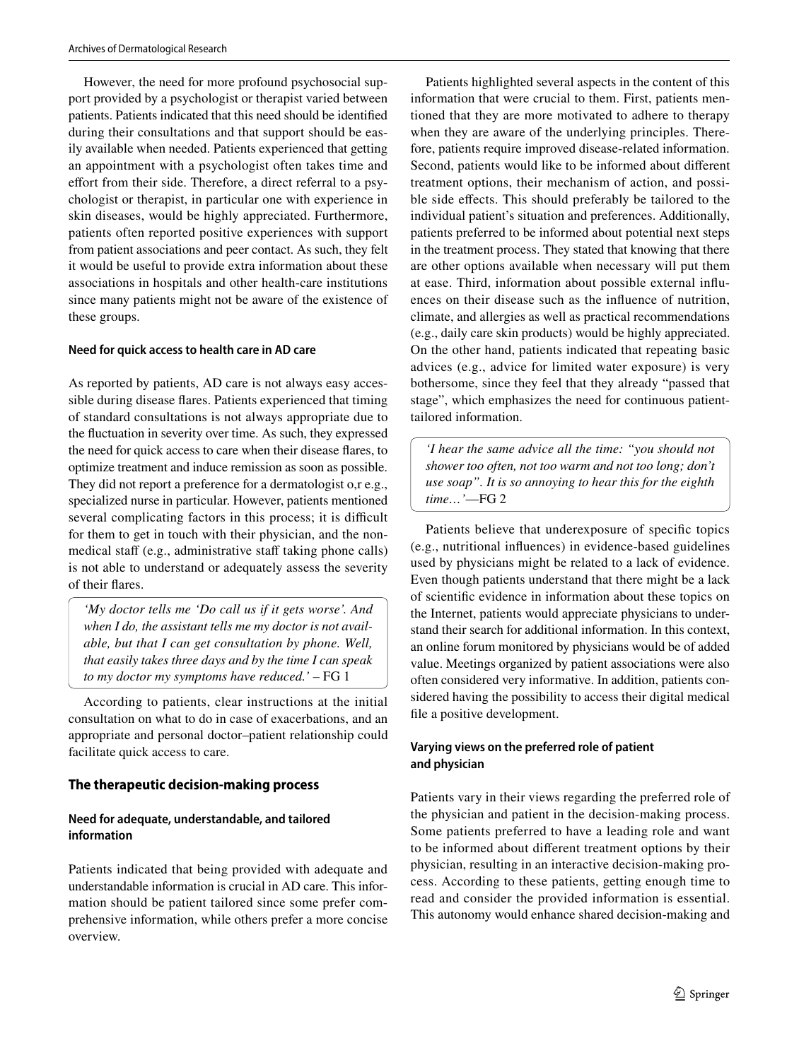However, the need for more profound psychosocial support provided by a psychologist or therapist varied between patients. Patients indicated that this need should be identifed during their consultations and that support should be easily available when needed. Patients experienced that getting an appointment with a psychologist often takes time and effort from their side. Therefore, a direct referral to a psychologist or therapist, in particular one with experience in skin diseases, would be highly appreciated. Furthermore, patients often reported positive experiences with support from patient associations and peer contact. As such, they felt it would be useful to provide extra information about these associations in hospitals and other health-care institutions since many patients might not be aware of the existence of these groups.

#### **Need for quick access to health care in AD care**

As reported by patients, AD care is not always easy accessible during disease fares. Patients experienced that timing of standard consultations is not always appropriate due to the fuctuation in severity over time. As such, they expressed the need for quick access to care when their disease fares, to optimize treatment and induce remission as soon as possible. They did not report a preference for a dermatologist o,r e.g., specialized nurse in particular. However, patients mentioned several complicating factors in this process; it is difficult for them to get in touch with their physician, and the nonmedical staff (e.g., administrative staff taking phone calls) is not able to understand or adequately assess the severity of their fares.

*'My doctor tells me 'Do call us if it gets worse'. And when I do, the assistant tells me my doctor is not available, but that I can get consultation by phone. Well, that easily takes three days and by the time I can speak to my doctor my symptoms have reduced.'* – FG 1

According to patients, clear instructions at the initial consultation on what to do in case of exacerbations, and an appropriate and personal doctor–patient relationship could facilitate quick access to care.

#### **The therapeutic decision‑making process**

#### **Need for adequate, understandable, and tailored information**

Patients indicated that being provided with adequate and understandable information is crucial in AD care. This information should be patient tailored since some prefer comprehensive information, while others prefer a more concise overview.

Patients highlighted several aspects in the content of this information that were crucial to them. First, patients mentioned that they are more motivated to adhere to therapy when they are aware of the underlying principles. Therefore, patients require improved disease-related information. Second, patients would like to be informed about diferent treatment options, their mechanism of action, and possible side efects. This should preferably be tailored to the individual patient's situation and preferences. Additionally, patients preferred to be informed about potential next steps in the treatment process. They stated that knowing that there are other options available when necessary will put them at ease. Third, information about possible external infuences on their disease such as the infuence of nutrition, climate, and allergies as well as practical recommendations (e.g., daily care skin products) would be highly appreciated. On the other hand, patients indicated that repeating basic advices (e.g., advice for limited water exposure) is very bothersome, since they feel that they already "passed that stage", which emphasizes the need for continuous patienttailored information.

*'I hear the same advice all the time: "you should not shower too often, not too warm and not too long; don't use soap". It is so annoying to hear this for the eighth time…'*—FG 2

Patients believe that underexposure of specifc topics (e.g., nutritional infuences) in evidence-based guidelines used by physicians might be related to a lack of evidence. Even though patients understand that there might be a lack of scientifc evidence in information about these topics on the Internet, patients would appreciate physicians to understand their search for additional information. In this context, an online forum monitored by physicians would be of added value. Meetings organized by patient associations were also often considered very informative. In addition, patients considered having the possibility to access their digital medical fle a positive development.

#### **Varying views on the preferred role of patient and physician**

Patients vary in their views regarding the preferred role of the physician and patient in the decision-making process. Some patients preferred to have a leading role and want to be informed about diferent treatment options by their physician, resulting in an interactive decision-making process. According to these patients, getting enough time to read and consider the provided information is essential. This autonomy would enhance shared decision-making and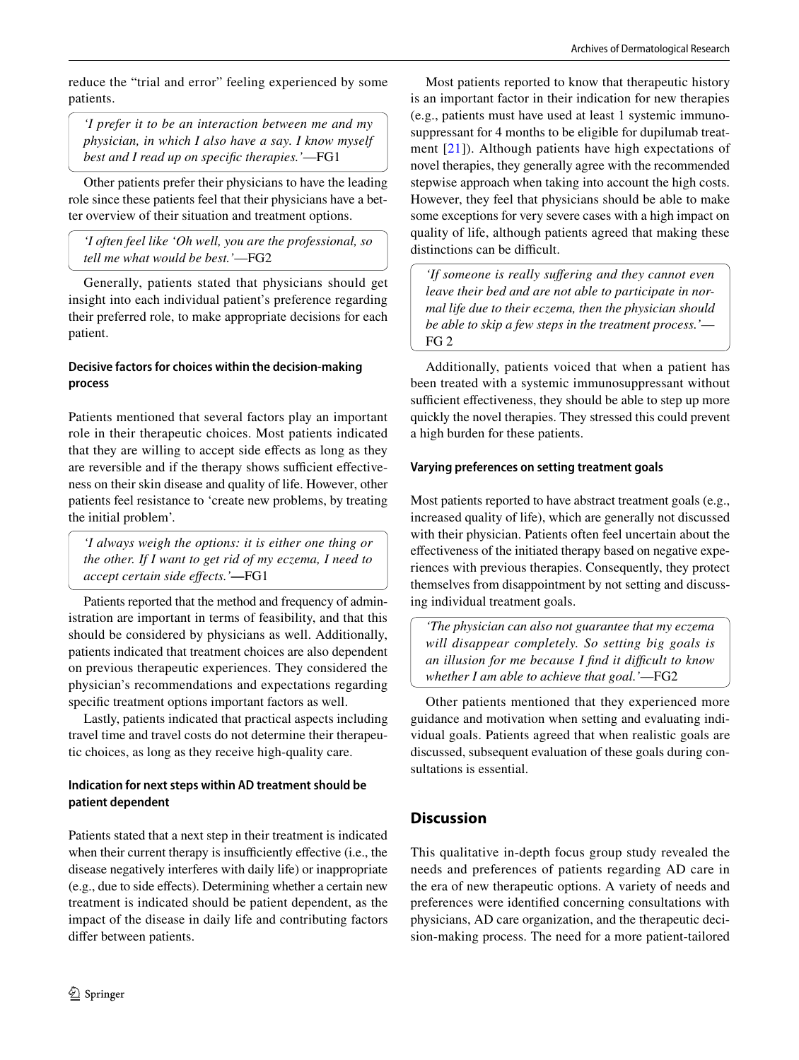reduce the "trial and error" feeling experienced by some patients.

*'I prefer it to be an interaction between me and my physician, in which I also have a say. I know myself best and I read up on specifc therapies.'*—FG1

Other patients prefer their physicians to have the leading role since these patients feel that their physicians have a better overview of their situation and treatment options.

*'I often feel like 'Oh well, you are the professional, so tell me what would be best.'*—FG2

Generally, patients stated that physicians should get insight into each individual patient's preference regarding their preferred role, to make appropriate decisions for each patient.

### **Decisive factors for choices within the decision‑making process**

Patients mentioned that several factors play an important role in their therapeutic choices. Most patients indicated that they are willing to accept side efects as long as they are reversible and if the therapy shows sufficient effectiveness on their skin disease and quality of life. However, other patients feel resistance to 'create new problems, by treating the initial problem'.

*'I always weigh the options: it is either one thing or the other. If I want to get rid of my eczema, I need to accept certain side efects.'***—**FG1

Patients reported that the method and frequency of administration are important in terms of feasibility, and that this should be considered by physicians as well. Additionally, patients indicated that treatment choices are also dependent on previous therapeutic experiences. They considered the physician's recommendations and expectations regarding specifc treatment options important factors as well.

Lastly, patients indicated that practical aspects including travel time and travel costs do not determine their therapeutic choices, as long as they receive high-quality care.

### **Indication for next steps within AD treatment should be patient dependent**

Patients stated that a next step in their treatment is indicated when their current therapy is insufficiently effective (i.e., the disease negatively interferes with daily life) or inappropriate (e.g., due to side efects). Determining whether a certain new treatment is indicated should be patient dependent, as the impact of the disease in daily life and contributing factors difer between patients.

Most patients reported to know that therapeutic history is an important factor in their indication for new therapies (e.g., patients must have used at least 1 systemic immunosuppressant for 4 months to be eligible for dupilumab treatment [[21](#page-7-18)]). Although patients have high expectations of novel therapies, they generally agree with the recommended stepwise approach when taking into account the high costs. However, they feel that physicians should be able to make some exceptions for very severe cases with a high impact on quality of life, although patients agreed that making these distinctions can be difficult.

*'If someone is really sufering and they cannot even leave their bed and are not able to participate in normal life due to their eczema, then the physician should be able to skip a few steps in the treatment process.'*— FG 2

Additionally, patients voiced that when a patient has been treated with a systemic immunosuppressant without sufficient effectiveness, they should be able to step up more quickly the novel therapies. They stressed this could prevent a high burden for these patients.

### **Varying preferences on setting treatment goals**

Most patients reported to have abstract treatment goals (e.g., increased quality of life), which are generally not discussed with their physician. Patients often feel uncertain about the efectiveness of the initiated therapy based on negative experiences with previous therapies. Consequently, they protect themselves from disappointment by not setting and discussing individual treatment goals.

*'The physician can also not guarantee that my eczema will disappear completely. So setting big goals is an illusion for me because I fnd it difcult to know whether I am able to achieve that goal.'*—FG2

Other patients mentioned that they experienced more guidance and motivation when setting and evaluating individual goals. Patients agreed that when realistic goals are discussed, subsequent evaluation of these goals during consultations is essential.

## **Discussion**

This qualitative in-depth focus group study revealed the needs and preferences of patients regarding AD care in the era of new therapeutic options. A variety of needs and preferences were identifed concerning consultations with physicians, AD care organization, and the therapeutic decision-making process. The need for a more patient-tailored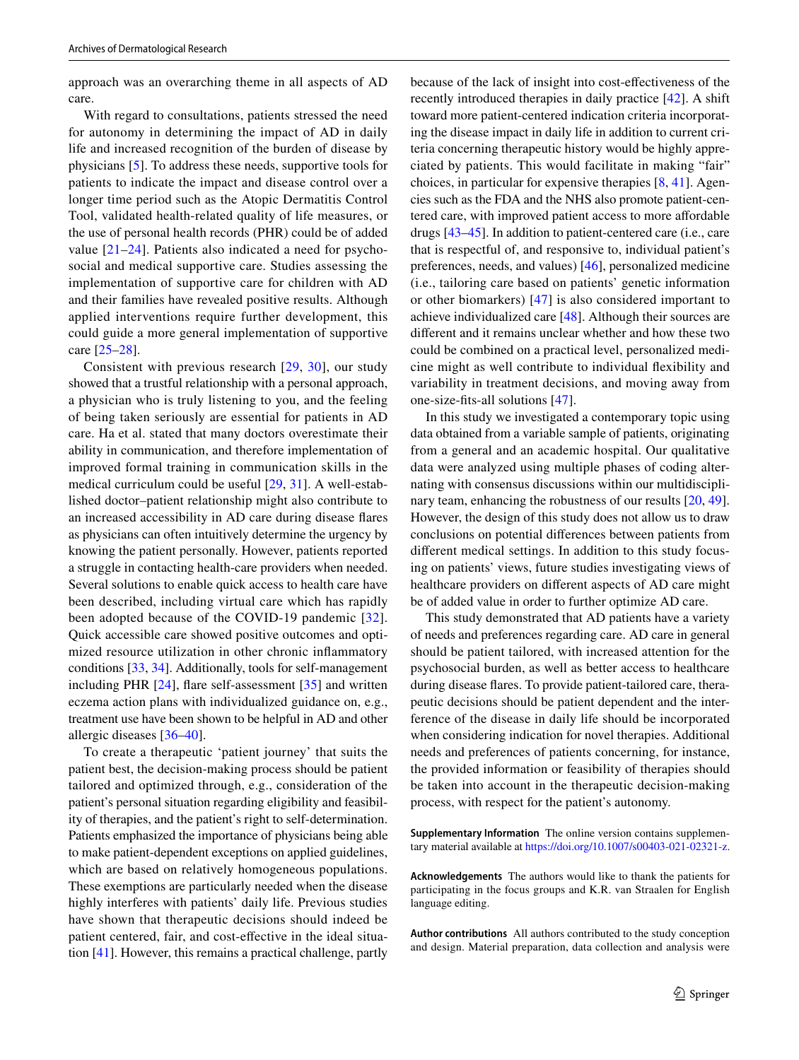approach was an overarching theme in all aspects of AD care.

With regard to consultations, patients stressed the need for autonomy in determining the impact of AD in daily life and increased recognition of the burden of disease by physicians [\[5](#page-7-3)]. To address these needs, supportive tools for patients to indicate the impact and disease control over a longer time period such as the Atopic Dermatitis Control Tool, validated health-related quality of life measures, or the use of personal health records (PHR) could be of added value [[21](#page-7-18)[–24\]](#page-7-19). Patients also indicated a need for psychosocial and medical supportive care. Studies assessing the implementation of supportive care for children with AD and their families have revealed positive results. Although applied interventions require further development, this could guide a more general implementation of supportive care [[25–](#page-7-20)[28\]](#page-8-0).

Consistent with previous research [[29](#page-8-1), [30\]](#page-8-2), our study showed that a trustful relationship with a personal approach, a physician who is truly listening to you, and the feeling of being taken seriously are essential for patients in AD care. Ha et al. stated that many doctors overestimate their ability in communication, and therefore implementation of improved formal training in communication skills in the medical curriculum could be useful [[29,](#page-8-1) [31](#page-8-3)]. A well-established doctor–patient relationship might also contribute to an increased accessibility in AD care during disease fares as physicians can often intuitively determine the urgency by knowing the patient personally. However, patients reported a struggle in contacting health-care providers when needed. Several solutions to enable quick access to health care have been described, including virtual care which has rapidly been adopted because of the COVID-19 pandemic [[32](#page-8-4)]. Quick accessible care showed positive outcomes and optimized resource utilization in other chronic infammatory conditions [\[33](#page-8-5), [34\]](#page-8-6). Additionally, tools for self-management including PHR [[24\]](#page-7-19), fare self-assessment [[35\]](#page-8-7) and written eczema action plans with individualized guidance on, e.g., treatment use have been shown to be helpful in AD and other allergic diseases [[36–](#page-8-8)[40\]](#page-8-9).

To create a therapeutic 'patient journey' that suits the patient best, the decision-making process should be patient tailored and optimized through, e.g., consideration of the patient's personal situation regarding eligibility and feasibility of therapies, and the patient's right to self-determination. Patients emphasized the importance of physicians being able to make patient-dependent exceptions on applied guidelines, which are based on relatively homogeneous populations. These exemptions are particularly needed when the disease highly interferes with patients' daily life. Previous studies have shown that therapeutic decisions should indeed be patient centered, fair, and cost-efective in the ideal situation [\[41\]](#page-8-10). However, this remains a practical challenge, partly

because of the lack of insight into cost-efectiveness of the recently introduced therapies in daily practice [[42\]](#page-8-11). A shift toward more patient-centered indication criteria incorporating the disease impact in daily life in addition to current criteria concerning therapeutic history would be highly appreciated by patients. This would facilitate in making "fair" choices, in particular for expensive therapies [\[8](#page-7-6), [41](#page-8-10)]. Agencies such as the FDA and the NHS also promote patient-centered care, with improved patient access to more afordable drugs [\[43–](#page-8-12)[45\]](#page-8-13). In addition to patient-centered care (i.e., care that is respectful of, and responsive to, individual patient's preferences, needs, and values) [[46](#page-8-14)], personalized medicine (i.e., tailoring care based on patients' genetic information or other biomarkers) [\[47\]](#page-8-15) is also considered important to achieve individualized care [\[48\]](#page-8-16). Although their sources are diferent and it remains unclear whether and how these two could be combined on a practical level, personalized medicine might as well contribute to individual fexibility and variability in treatment decisions, and moving away from one-size-fts-all solutions [[47](#page-8-15)].

In this study we investigated a contemporary topic using data obtained from a variable sample of patients, originating from a general and an academic hospital. Our qualitative data were analyzed using multiple phases of coding alternating with consensus discussions within our multidisciplinary team, enhancing the robustness of our results [\[20](#page-7-17), [49](#page-8-17)]. However, the design of this study does not allow us to draw conclusions on potential diferences between patients from diferent medical settings. In addition to this study focusing on patients' views, future studies investigating views of healthcare providers on diferent aspects of AD care might be of added value in order to further optimize AD care.

This study demonstrated that AD patients have a variety of needs and preferences regarding care. AD care in general should be patient tailored, with increased attention for the psychosocial burden, as well as better access to healthcare during disease fares. To provide patient-tailored care, therapeutic decisions should be patient dependent and the interference of the disease in daily life should be incorporated when considering indication for novel therapies. Additional needs and preferences of patients concerning, for instance, the provided information or feasibility of therapies should be taken into account in the therapeutic decision-making process, with respect for the patient's autonomy.

**Supplementary Information** The online version contains supplementary material available at <https://doi.org/10.1007/s00403-021-02321-z>.

**Acknowledgements** The authors would like to thank the patients for participating in the focus groups and K.R. van Straalen for English language editing.

**Author contributions** All authors contributed to the study conception and design. Material preparation, data collection and analysis were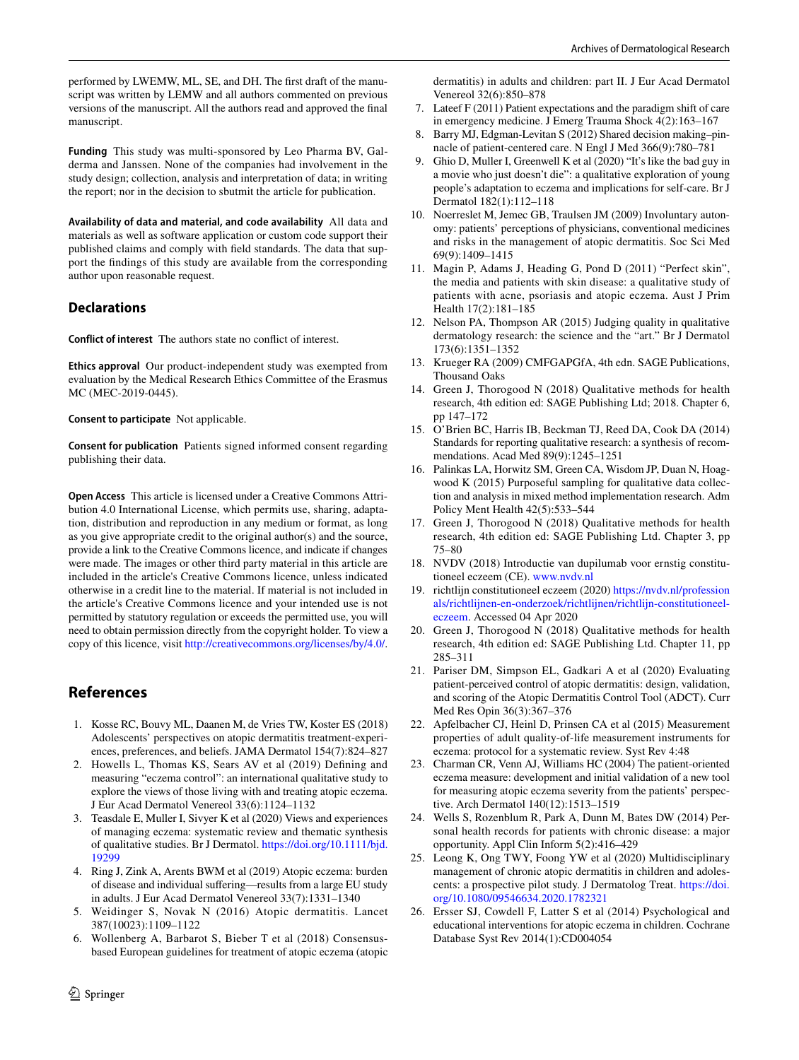performed by LWEMW, ML, SE, and DH. The frst draft of the manuscript was written by LEMW and all authors commented on previous versions of the manuscript. All the authors read and approved the fnal manuscript.

**Funding** This study was multi-sponsored by Leo Pharma BV, Galderma and Janssen. None of the companies had involvement in the study design; collection, analysis and interpretation of data; in writing the report; nor in the decision to sbutmit the article for publication.

**Availability of data and material, and code availability** All data and materials as well as software application or custom code support their published claims and comply with feld standards. The data that support the fndings of this study are available from the corresponding author upon reasonable request.

### **Declarations**

**Conflict of interest** The authors state no confict of interest.

**Ethics approval** Our product-independent study was exempted from evaluation by the Medical Research Ethics Committee of the Erasmus MC (MEC-2019-0445).

**Consent to participate** Not applicable.

**Consent for publication** Patients signed informed consent regarding publishing their data.

**Open Access** This article is licensed under a Creative Commons Attribution 4.0 International License, which permits use, sharing, adaptation, distribution and reproduction in any medium or format, as long as you give appropriate credit to the original author(s) and the source, provide a link to the Creative Commons licence, and indicate if changes were made. The images or other third party material in this article are included in the article's Creative Commons licence, unless indicated otherwise in a credit line to the material. If material is not included in the article's Creative Commons licence and your intended use is not permitted by statutory regulation or exceeds the permitted use, you will need to obtain permission directly from the copyright holder. To view a copy of this licence, visit <http://creativecommons.org/licenses/by/4.0/>.

### **References**

- <span id="page-7-0"></span>1. Kosse RC, Bouvy ML, Daanen M, de Vries TW, Koster ES (2018) Adolescents' perspectives on atopic dermatitis treatment-experiences, preferences, and beliefs. JAMA Dermatol 154(7):824–827
- 2. Howells L, Thomas KS, Sears AV et al (2019) Defning and measuring "eczema control": an international qualitative study to explore the views of those living with and treating atopic eczema. J Eur Acad Dermatol Venereol 33(6):1124–1132
- <span id="page-7-2"></span>3. Teasdale E, Muller I, Sivyer K et al (2020) Views and experiences of managing eczema: systematic review and thematic synthesis of qualitative studies. Br J Dermatol. [https://doi.org/10.1111/bjd.](https://doi.org/10.1111/bjd.19299) [19299](https://doi.org/10.1111/bjd.19299)
- <span id="page-7-1"></span>4. Ring J, Zink A, Arents BWM et al (2019) Atopic eczema: burden of disease and individual sufering—results from a large EU study in adults. J Eur Acad Dermatol Venereol 33(7):1331–1340
- <span id="page-7-3"></span>5. Weidinger S, Novak N (2016) Atopic dermatitis. Lancet 387(10023):1109–1122
- <span id="page-7-4"></span>Wollenberg A, Barbarot S, Bieber T et al (2018) Consensusbased European guidelines for treatment of atopic eczema (atopic
- <span id="page-7-5"></span>7. Lateef F (2011) Patient expectations and the paradigm shift of care in emergency medicine. J Emerg Trauma Shock 4(2):163–167
- <span id="page-7-6"></span>8. Barry MJ, Edgman-Levitan S (2012) Shared decision making–pinnacle of patient-centered care. N Engl J Med 366(9):780–781
- <span id="page-7-7"></span>9. Ghio D, Muller I, Greenwell K et al (2020) "It's like the bad guy in a movie who just doesn't die": a qualitative exploration of young people's adaptation to eczema and implications for self-care. Br J Dermatol 182(1):112–118
- 10. Noerreslet M, Jemec GB, Traulsen JM (2009) Involuntary autonomy: patients' perceptions of physicians, conventional medicines and risks in the management of atopic dermatitis. Soc Sci Med 69(9):1409–1415
- <span id="page-7-8"></span>11. Magin P, Adams J, Heading G, Pond D (2011) "Perfect skin", the media and patients with skin disease: a qualitative study of patients with acne, psoriasis and atopic eczema. Aust J Prim Health 17(2):181–185
- <span id="page-7-9"></span>12. Nelson PA, Thompson AR (2015) Judging quality in qualitative dermatology research: the science and the "art." Br J Dermatol 173(6):1351–1352
- <span id="page-7-10"></span>13. Krueger RA (2009) CMFGAPGfA, 4th edn. SAGE Publications, Thousand Oaks
- <span id="page-7-11"></span>14. Green J, Thorogood N (2018) Qualitative methods for health research, 4th edition ed: SAGE Publishing Ltd; 2018. Chapter 6, pp 147–172
- <span id="page-7-12"></span>15. O'Brien BC, Harris IB, Beckman TJ, Reed DA, Cook DA (2014) Standards for reporting qualitative research: a synthesis of recommendations. Acad Med 89(9):1245–1251
- <span id="page-7-13"></span>16. Palinkas LA, Horwitz SM, Green CA, Wisdom JP, Duan N, Hoagwood K (2015) Purposeful sampling for qualitative data collection and analysis in mixed method implementation research. Adm Policy Ment Health 42(5):533–544
- <span id="page-7-14"></span>17. Green J, Thorogood N (2018) Qualitative methods for health research, 4th edition ed: SAGE Publishing Ltd. Chapter 3, pp 75–80
- <span id="page-7-15"></span>18. NVDV (2018) Introductie van dupilumab voor ernstig constitutioneel eczeem (CE). [www.nvdv.nl](http://www.nvdv.nl)
- <span id="page-7-16"></span>19. richtlijn constitutioneel eczeem (2020) [https://nvdv.nl/profession](https://nvdv.nl/professionals/richtlijnen-en-onderzoek/richtlijnen/richtlijn-constitutioneel-eczeem) [als/richtlijnen-en-onderzoek/richtlijnen/richtlijn-constitutioneel](https://nvdv.nl/professionals/richtlijnen-en-onderzoek/richtlijnen/richtlijn-constitutioneel-eczeem)[eczeem.](https://nvdv.nl/professionals/richtlijnen-en-onderzoek/richtlijnen/richtlijn-constitutioneel-eczeem) Accessed 04 Apr 2020
- <span id="page-7-17"></span>20. Green J, Thorogood N (2018) Qualitative methods for health research, 4th edition ed: SAGE Publishing Ltd. Chapter 11, pp 285–311
- <span id="page-7-18"></span>21. Pariser DM, Simpson EL, Gadkari A et al (2020) Evaluating patient-perceived control of atopic dermatitis: design, validation, and scoring of the Atopic Dermatitis Control Tool (ADCT). Curr Med Res Opin 36(3):367–376
- 22. Apfelbacher CJ, Heinl D, Prinsen CA et al (2015) Measurement properties of adult quality-of-life measurement instruments for eczema: protocol for a systematic review. Syst Rev 4:48
- 23. Charman CR, Venn AJ, Williams HC (2004) The patient-oriented eczema measure: development and initial validation of a new tool for measuring atopic eczema severity from the patients' perspective. Arch Dermatol 140(12):1513–1519
- <span id="page-7-19"></span>24. Wells S, Rozenblum R, Park A, Dunn M, Bates DW (2014) Personal health records for patients with chronic disease: a major opportunity. Appl Clin Inform 5(2):416–429
- <span id="page-7-20"></span>25. Leong K, Ong TWY, Foong YW et al (2020) Multidisciplinary management of chronic atopic dermatitis in children and adolescents: a prospective pilot study. J Dermatolog Treat. [https://doi.](https://doi.org/10.1080/09546634.2020.1782321) [org/10.1080/09546634.2020.1782321](https://doi.org/10.1080/09546634.2020.1782321)
- 26. Ersser SJ, Cowdell F, Latter S et al (2014) Psychological and educational interventions for atopic eczema in children. Cochrane Database Syst Rev 2014(1):CD004054